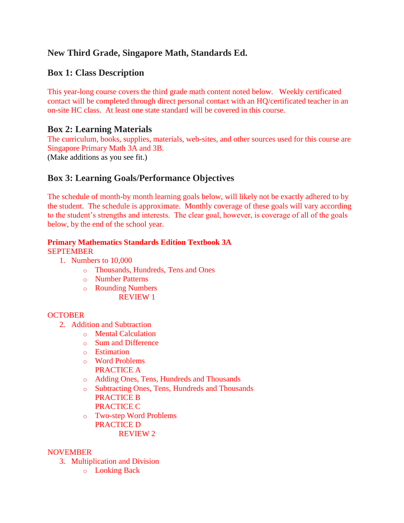# **New Third Grade, Singapore Math, Standards Ed.**

# **Box 1: Class Description**

This year-long course covers the third grade math content noted below. Weekly certificated contact will be completed through direct personal contact with an HQ/certificated teacher in an on-site HC class. At least one state standard will be covered in this course.

### **Box 2: Learning Materials**

The curriculum, books, supplies, materials, web-sites, and other sources used for this course are Singapore Primary Math 3A and 3B.

(Make additions as you see fit.)

## **Box 3: Learning Goals/Performance Objectives**

The schedule of month-by month learning goals below, will likely not be exactly adhered to by the student. The schedule is approximate. Monthly coverage of these goals will vary according to the student's strengths and interests. The clear goal, however, is coverage of all of the goals below, by the end of the school year.

# **Primary Mathematics Standards Edition Textbook 3A**

SEPTEMBER

- 1. Numbers to 10,000
	- o Thousands, Hundreds, Tens and Ones
	- o Number Patterns
	- o Rounding Numbers REVIEW 1

### **OCTOBER**

- 2. Addition and Subtraction
	- o Mental Calculation
	- o Sum and Difference
	- o Estimation
	- o Word Problems PRACTICE A
	- o Adding Ones, Tens, Hundreds and Thousands
	- o Subtracting Ones, Tens, Hundreds and Thousands PRACTICE B PRACTICE C
	- o Two-step Word Problems PRACTICE D REVIEW 2

### NOVEMBER

- 3. Multiplication and Division
	- o Looking Back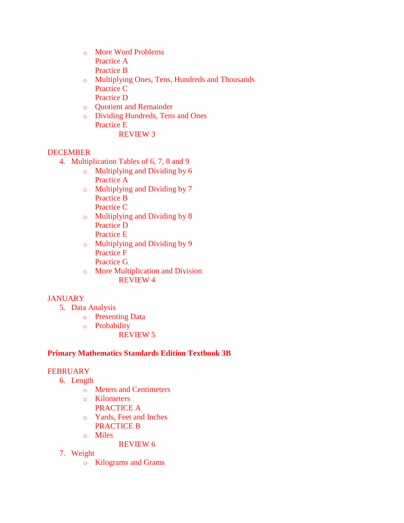- o More Word Problems Practice A Practice B
- o Multiplying Ones, Tens, Hundreds and Thousands Practice C Practice D
- o Quotient and Remainder
- o Dividing Hundreds, Tens and Ones Practice E REVIEW 3

#### DECEMBER

- 4. Multiplication Tables of 6, 7, 8 and 9
	- o Multiplying and Dividing by 6 Practice A
	- o Multiplying and Dividing by 7 Practice B Practice C
	- o Multiplying and Dividing by 8 Practice D Practice E
	- o Multiplying and Dividing by 9 Practice F
		- Practice G
	- o More Multiplication and Division REVIEW 4

### **JANUARY**

- 5. Data Analysis
	- o Presenting Data
	- o Probability
		- REVIEW 5

#### **Primary Mathematics Standards Edition Textbook 3B**

#### **FEBRUARY**

- 6. Length
	- o Meters and Centimeters
	- o Kilometers
		- PRACTICE A
	- o Yards, Feet and Inches PRACTICE B
	- o Miles
		- REVIEW 6
- 7. Weight
	- o Kilograms and Grams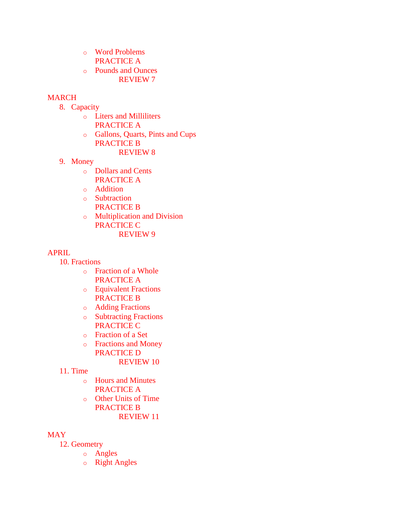- o Word Problems PRACTICE A
- o Pounds and Ounces REVIEW 7

### MARCH

- 8. Capacity
	- o Liters and Milliliters PRACTICE A
	- o Gallons, Quarts, Pints and Cups PRACTICE B
		- REVIEW 8
- 9. Money
	- o Dollars and Cents PRACTICE A
	- o Addition
	- o Subtraction PRACTICE B
	- o Multiplication and Division PRACTICE C REVIEW 9

#### APRIL

- 10. Fractions
	- o Fraction of a Whole PRACTICE A
	- o Equivalent Fractions PRACTICE B
	- o Adding Fractions
	- o Subtracting Fractions PRACTICE C
	- o Fraction of a Set
	- o Fractions and Money PRACTICE D
		- REVIEW 10
- 11. Time
	- o Hours and Minutes PRACTICE A
	- o Other Units of Time PRACTICE B REVIEW 11

#### MAY

- 12. Geometry
	- o Angles
	- o Right Angles